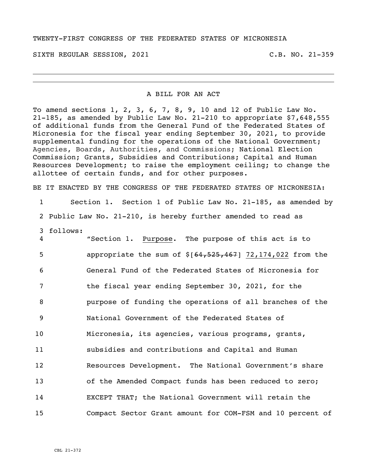#### TWENTY-FIRST CONGRESS OF THE FEDERATED STATES OF MICRONESIA

SIXTH REGULAR SESSION, 2021 C.B. NO. 21-359

#### A BILL FOR AN ACT

To amend sections 1, 2, 3, 6, 7, 8, 9, 10 and 12 of Public Law No. 21-185, as amended by Public Law No. 21-210 to appropriate \$7,648,555 of additional funds from the General Fund of the Federated States of Micronesia for the fiscal year ending September 30, 2021, to provide supplemental funding for the operations of the National Government; Agencies, Boards, Authorities, and Commissions; National Election Commission; Grants, Subsidies and Contributions; Capital and Human Resources Development; to raise the employment ceiling; to change the allottee of certain funds, and for other purposes.

BE IT ENACTED BY THE CONGRESS OF THE FEDERATED STATES OF MICRONESIA:

 Section 1. Section 1 of Public Law No. 21-185, as amended by Public Law No. 21-210, is hereby further amended to read as follows: "Section 1. Purpose. The purpose of this act is to 5 appropriate the sum of  $$[64,525,467]$  72,174,022 from the General Fund of the Federated States of Micronesia for the fiscal year ending September 30, 2021, for the purpose of funding the operations of all branches of the National Government of the Federated States of Micronesia, its agencies, various programs, grants, subsidies and contributions and Capital and Human Resources Development. The National Government's share of the Amended Compact funds has been reduced to zero; EXCEPT THAT; the National Government will retain the Compact Sector Grant amount for COM-FSM and 10 percent of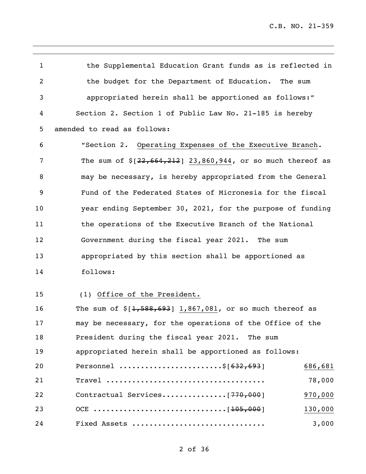the Supplemental Education Grant funds as is reflected in the budget for the Department of Education. The sum appropriated herein shall be apportioned as follows:" Section 2. Section 1 of Public Law No. 21-185 is hereby amended to read as follows: "Section 2. Operating Expenses of the Executive Branch. 7 The sum of  $\frac{22,664,212}{23,860,944}$ , or so much thereof as may be necessary, is hereby appropriated from the General Fund of the Federated States of Micronesia for the fiscal year ending September 30, 2021, for the purpose of funding the operations of the Executive Branch of the National Government during the fiscal year 2021. The sum appropriated by this section shall be apportioned as follows: (1) Office of the President. 16 The sum of  $\frac{1}{568,693}$  1,867,081, or so much thereof as

 may be necessary, for the operations of the Office of the President during the fiscal year 2021. The sum appropriated herein shall be apportioned as follows: 20 Personnel .........................\$[632,693] 986,681 Travel ..................................... 78,000 Contractual Services...............[770,000] 970,000 OCE ...............................[105,000] 130,000 Fixed Assets ............................... 3,000

### of 36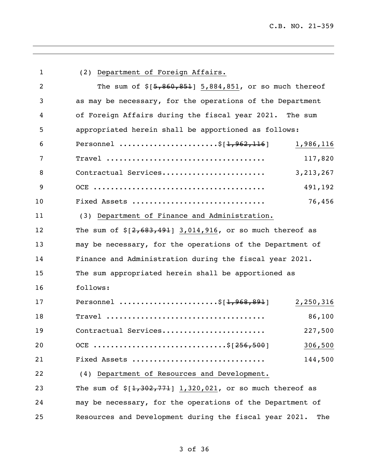| $\mathbf{1}$   | (2) Department of Foreign Affairs.                            |
|----------------|---------------------------------------------------------------|
| $\overline{2}$ | The sum of $$[5,860,851]$ 5,884,851, or so much thereof       |
| 3              | as may be necessary, for the operations of the Department     |
| 4              | of Foreign Affairs during the fiscal year 2021. The sum       |
| 5              | appropriated herein shall be apportioned as follows:          |
| 6              | Personnel \$[ <del>1,962,116</del> ]<br>1,986,116             |
| 7              | 117,820                                                       |
| 8              | 3, 213, 267<br>Contractual Services                           |
| 9              | 491,192                                                       |
| 10             | 76,456<br>Fixed Assets                                        |
| 11             | (3) Department of Finance and Administration.                 |
| 12             | The sum of $$[2,683,491]$ 3,014,916, or so much thereof as    |
| 13             | may be necessary, for the operations of the Department of     |
| 14             | Finance and Administration during the fiscal year 2021.       |
| 15             | The sum appropriated herein shall be apportioned as           |
| 16             | follows:                                                      |
| 17             | Personnel \$[1,968,891]<br>2,250,316                          |
| 18             | $\texttt{True}$<br>86,100                                     |
| 19             | Contractual Services<br>227,500                               |
| 20             | OCE \$[256,500]<br>306,500                                    |
| 21             | 144,500<br>Fixed Assets                                       |
| 22             | (4) Department of Resources and Development.                  |
| 23             | The sum of $\S[1,302,771]$ 1,320,021, or so much thereof as   |
| 24             | may be necessary, for the operations of the Department of     |
| 25             | Resources and Development during the fiscal year 2021.<br>The |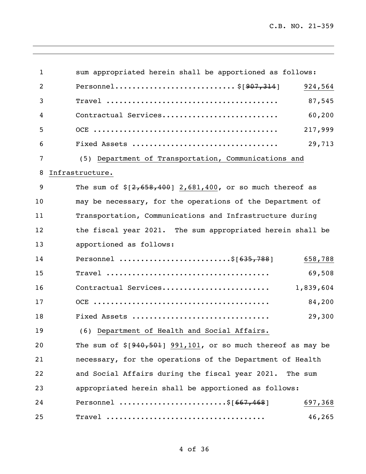| $\mathbf{1}$   | sum appropriated herein shall be apportioned as follows:        |
|----------------|-----------------------------------------------------------------|
| $\overline{2}$ | 924,564                                                         |
| 3              | 87,545                                                          |
| 4              | 60,200<br>Contractual Services                                  |
| 5              | 217,999                                                         |
| 6              | 29,713                                                          |
| 7              | (5) Department of Transportation, Communications and            |
| 8              | Infrastructure.                                                 |
| 9              | The sum of $$[2,658,400]$ 2,681,400, or so much thereof as      |
| 10             | may be necessary, for the operations of the Department of       |
| 11             | Transportation, Communications and Infrastructure during        |
| 12             | the fiscal year 2021. The sum appropriated herein shall be      |
| 13             | apportioned as follows:                                         |
| 14             | Personnel \$[635,788]<br>658,788                                |
| 15             | 69,508                                                          |
| 16             | 1,839,604<br>Contractual Services                               |
| 17             | 84,200                                                          |
| 18             | Fixed Assets<br>29,300                                          |
| 19             | (6) Department of Health and Social Affairs.                    |
| 20             | The sum of $\S[940, 501]$ 991,101, or so much thereof as may be |
| 21             | necessary, for the operations of the Department of Health       |
| 22             | and Social Affairs during the fiscal year 2021. The sum         |
| 23             | appropriated herein shall be apportioned as follows:            |
| 24             | Personnel \$[667,468]<br>697,368                                |
| 25             | 46,265                                                          |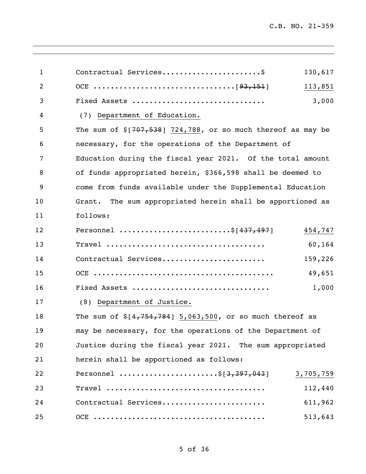| $\mathbf{1}$ |                                                                 | 130,617   |
|--------------|-----------------------------------------------------------------|-----------|
| 2            |                                                                 | 113,851   |
| 3            | Fixed Assets                                                    | 3,000     |
| 4            | (7) Department of Education.                                    |           |
| 5            | The sum of $\S$ [707,538] 724,788, or so much thereof as may be |           |
| 6            | necessary, for the operations of the Department of              |           |
| 7            | Education during the fiscal year 2021. Of the total amount      |           |
| 8            | of funds appropriated herein, \$366,598 shall be deemed to      |           |
| 9            | come from funds available under the Supplemental Education      |           |
| 10           | The sum appropriated herein shall be apportioned as<br>Grant.   |           |
| 11           | follows:                                                        |           |
| 12           | Personnel \$[437,497]                                           | 454,747   |
| 13           |                                                                 | 60,164    |
| 14           | Contractual Services                                            | 159,226   |
| 15           |                                                                 | 49,651    |
| 16           | Fixed Assets                                                    | 1,000     |
| 17           | (8) Department of Justice.                                      |           |
| 18           | The sum of $$[4,754,784]$ 5,063,500, or so much thereof as      |           |
| 19           | may be necessary, for the operations of the Department of       |           |
| 20           | Justice during the fiscal year 2021. The sum appropriated       |           |
| 21           | herein shall be apportioned as follows:                         |           |
| 22           | Personnel \$[3,397,043]                                         | 3,705,759 |
| 23           |                                                                 | 112,440   |
| 24           | Contractual Services                                            | 611,962   |
| 25           |                                                                 | 513,643   |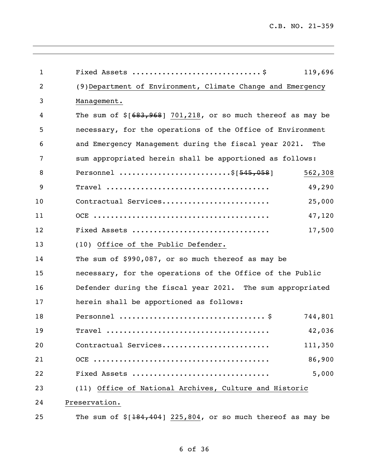| $\mathbf{1}$ |                                                                | 119,696 |
|--------------|----------------------------------------------------------------|---------|
| 2            | (9) Department of Environment, Climate Change and Emergency    |         |
| 3            | Management.                                                    |         |
| 4            | The sum of $$[683, 968]$ 701,218, or so much thereof as may be |         |
| 5            | necessary, for the operations of the Office of Environment     |         |
| 6            | and Emergency Management during the fiscal year 2021. The      |         |
| 7            | sum appropriated herein shall be apportioned as follows:       |         |
| 8            | Personnel \$ [545,058]                                         | 562,308 |
| 9            |                                                                | 49,290  |
| 10           | Contractual Services                                           | 25,000  |
| 11           |                                                                | 47,120  |
| 12           | Fixed Assets                                                   | 17,500  |
| 13           | (10) Office of the Public Defender.                            |         |
| 14           | The sum of \$990,087, or so much thereof as may be             |         |
| 15           | necessary, for the operations of the Office of the Public      |         |
| 16           | Defender during the fiscal year 2021. The sum appropriated     |         |
| 17           | herein shall be apportioned as follows:                        |         |
| 18           |                                                                | 744,801 |
| 19           |                                                                | 42,036  |
| 20           | Contractual Services                                           | 111,350 |
| 21           |                                                                | 86,900  |
| 22           | Fixed Assets                                                   | 5,000   |
| 23           | (11) Office of National Archives, Culture and Historic         |         |
| 24           | Preservation.                                                  |         |
| 25           | The sum of $$[184, 404]$ 225,804, or so much thereof as may be |         |

,我们也不会有什么。""我们的人,我们也不会有什么?""我们的人,我们也不会有什么?""我们的人,我们也不会有什么?""我们的人,我们也不会有什么?""我们的人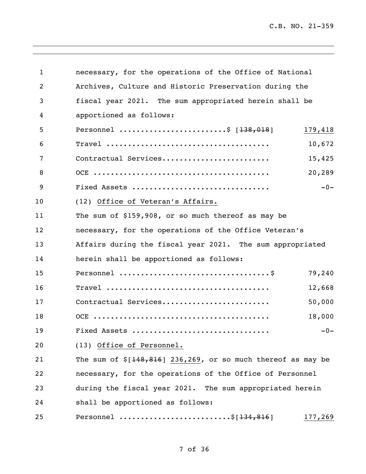| $\mathbf{1}$ | necessary, for the operations of the Office of National       |         |
|--------------|---------------------------------------------------------------|---------|
| 2            | Archives, Culture and Historic Preservation during the        |         |
| 3            | fiscal year 2021. The sum appropriated herein shall be        |         |
| 4            | apportioned as follows:                                       |         |
| 5            | Personnel \$ $[138, 018]$                                     | 179,418 |
| 6            |                                                               | 10,672  |
| 7            | Contractual Services                                          | 15,425  |
| 8            |                                                               | 20,289  |
| 9            | Fixed Assets                                                  | $-0-$   |
| 10           | (12) Office of Veteran's Affairs.                             |         |
| 11           | The sum of \$159,908, or so much thereof as may be            |         |
| 12           | necessary, for the operations of the Office Veteran's         |         |
| 13           | Affairs during the fiscal year 2021. The sum appropriated     |         |
| 14           | herein shall be apportioned as follows:                       |         |
| 15           |                                                               | 79,240  |
| 16           |                                                               | 12,668  |
| 17           | Contractual Services                                          | 50,000  |
| 18           |                                                               | 18,000  |
| 19           | Fixed Assets                                                  | $-0-$   |
| 20           | (13) Office of Personnel.                                     |         |
| 21           | The sum of $$[148,816]$ 236,269, or so much thereof as may be |         |
| 22           | necessary, for the operations of the Office of Personnel      |         |
| 23           | during the fiscal year 2021. The sum appropriated herein      |         |
| 24           | shall be apportioned as follows:                              |         |
| 25           | Personnel \$[134,816]                                         | 177,269 |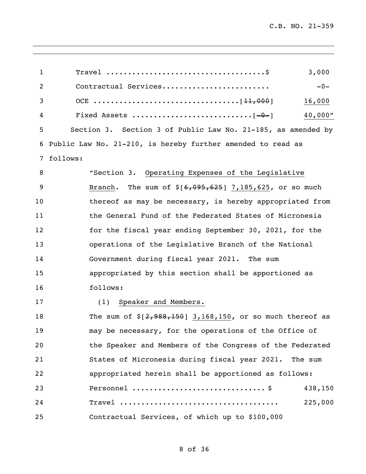| $\mathbf{1}$   | 3,000                                                        |
|----------------|--------------------------------------------------------------|
| $\overline{2}$ | Contractual Services<br>$-0-$                                |
| 3              | 16,000                                                       |
| 4              | 40,000"                                                      |
| 5              | Section 3. Section 3 of Public Law No. 21-185, as amended by |
| 6              | Public Law No. 21-210, is hereby further amended to read as  |
| 7              | follows:                                                     |
| 8              | "Section 3. Operating Expenses of the Legislative            |
| 9              | Branch. The sum of $$[6,095,625]$ 7,185,625, or so much      |
| 10             | thereof as may be necessary, is hereby appropriated from     |
| 11             | the General Fund of the Federated States of Micronesia       |
| 12             | for the fiscal year ending September 30, 2021, for the       |
| 13             | operations of the Legislative Branch of the National         |
| 14             | Government during fiscal year 2021. The sum                  |
| 15             | appropriated by this section shall be apportioned as         |
| 16             | follows:                                                     |
| 17             | Speaker and Members.<br>(1)                                  |
| 18             | The sum of $\S[2,988,150]$ 3,168,150, or so much thereof as  |
| 19             | may be necessary, for the operations of the Office of        |
| 20             | the Speaker and Members of the Congress of the Federated     |
| 21             | States of Micronesia during fiscal year 2021.<br>The sum     |
| 22             | appropriated herein shall be apportioned as follows:         |
| 23             | 438,150                                                      |
| 24             | 225,000                                                      |
| 25             | Contractual Services, of which up to \$100,000               |

,我们也不会有什么。""我们的人,我们也不会有什么?""我们的人,我们也不会有什么?""我们的人,我们也不会有什么?""我们的人,我们也不会有什么?""我们的人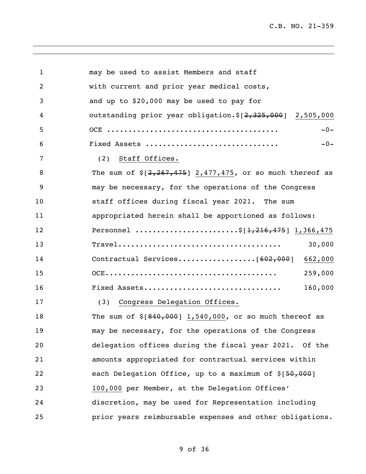| 2<br>with current and prior year medical costs,<br>3<br>and up to \$20,000 may be used to pay for<br>outstanding prior year obligation. $\S$ [2,325,000] 2,505,000<br>4<br>5<br>$-0-$<br>6<br>Fixed Assets<br>$-0-$<br>7<br>(2) Staff Offices.<br>8<br>The sum of $\S[2, 267, 475]$ 2,477,475, or so much thereof as<br>9<br>may be necessary, for the operations of the Congress<br>10<br>staff offices during fiscal year 2021. The sum<br>appropriated herein shall be apportioned as follows:<br>11<br>Personnel \$[1,216,475] 1,366,475<br>12<br>13<br>30,000<br>14<br>662,000<br>15<br>259,000<br>16<br>160,000<br>Fixed Assets<br>17<br>(3) Congress Delegation Offices.<br>The sum of $$[840,000]$ 1,540,000, or so much thereof as<br>18<br>may be necessary, for the operations of the Congress<br>19<br>delegation offices during the fiscal year 2021. Of the<br>20<br>21<br>amounts appropriated for contractual services within<br>each Delegation Office, up to a maximum of \$[50,000]<br>22<br>23<br>100,000 per Member, at the Delegation Offices'<br>discretion, may be used for Representation including<br>24<br>25<br>prior years reimbursable expenses and other obligations. | $\mathbf{1}$ | may be used to assist Members and staff |
|------------------------------------------------------------------------------------------------------------------------------------------------------------------------------------------------------------------------------------------------------------------------------------------------------------------------------------------------------------------------------------------------------------------------------------------------------------------------------------------------------------------------------------------------------------------------------------------------------------------------------------------------------------------------------------------------------------------------------------------------------------------------------------------------------------------------------------------------------------------------------------------------------------------------------------------------------------------------------------------------------------------------------------------------------------------------------------------------------------------------------------------------------------------------------------------------------|--------------|-----------------------------------------|
|                                                                                                                                                                                                                                                                                                                                                                                                                                                                                                                                                                                                                                                                                                                                                                                                                                                                                                                                                                                                                                                                                                                                                                                                      |              |                                         |
|                                                                                                                                                                                                                                                                                                                                                                                                                                                                                                                                                                                                                                                                                                                                                                                                                                                                                                                                                                                                                                                                                                                                                                                                      |              |                                         |
|                                                                                                                                                                                                                                                                                                                                                                                                                                                                                                                                                                                                                                                                                                                                                                                                                                                                                                                                                                                                                                                                                                                                                                                                      |              |                                         |
|                                                                                                                                                                                                                                                                                                                                                                                                                                                                                                                                                                                                                                                                                                                                                                                                                                                                                                                                                                                                                                                                                                                                                                                                      |              |                                         |
|                                                                                                                                                                                                                                                                                                                                                                                                                                                                                                                                                                                                                                                                                                                                                                                                                                                                                                                                                                                                                                                                                                                                                                                                      |              |                                         |
|                                                                                                                                                                                                                                                                                                                                                                                                                                                                                                                                                                                                                                                                                                                                                                                                                                                                                                                                                                                                                                                                                                                                                                                                      |              |                                         |
|                                                                                                                                                                                                                                                                                                                                                                                                                                                                                                                                                                                                                                                                                                                                                                                                                                                                                                                                                                                                                                                                                                                                                                                                      |              |                                         |
|                                                                                                                                                                                                                                                                                                                                                                                                                                                                                                                                                                                                                                                                                                                                                                                                                                                                                                                                                                                                                                                                                                                                                                                                      |              |                                         |
|                                                                                                                                                                                                                                                                                                                                                                                                                                                                                                                                                                                                                                                                                                                                                                                                                                                                                                                                                                                                                                                                                                                                                                                                      |              |                                         |
|                                                                                                                                                                                                                                                                                                                                                                                                                                                                                                                                                                                                                                                                                                                                                                                                                                                                                                                                                                                                                                                                                                                                                                                                      |              |                                         |
|                                                                                                                                                                                                                                                                                                                                                                                                                                                                                                                                                                                                                                                                                                                                                                                                                                                                                                                                                                                                                                                                                                                                                                                                      |              |                                         |
|                                                                                                                                                                                                                                                                                                                                                                                                                                                                                                                                                                                                                                                                                                                                                                                                                                                                                                                                                                                                                                                                                                                                                                                                      |              |                                         |
|                                                                                                                                                                                                                                                                                                                                                                                                                                                                                                                                                                                                                                                                                                                                                                                                                                                                                                                                                                                                                                                                                                                                                                                                      |              |                                         |
|                                                                                                                                                                                                                                                                                                                                                                                                                                                                                                                                                                                                                                                                                                                                                                                                                                                                                                                                                                                                                                                                                                                                                                                                      |              |                                         |
|                                                                                                                                                                                                                                                                                                                                                                                                                                                                                                                                                                                                                                                                                                                                                                                                                                                                                                                                                                                                                                                                                                                                                                                                      |              |                                         |
|                                                                                                                                                                                                                                                                                                                                                                                                                                                                                                                                                                                                                                                                                                                                                                                                                                                                                                                                                                                                                                                                                                                                                                                                      |              |                                         |
|                                                                                                                                                                                                                                                                                                                                                                                                                                                                                                                                                                                                                                                                                                                                                                                                                                                                                                                                                                                                                                                                                                                                                                                                      |              |                                         |
|                                                                                                                                                                                                                                                                                                                                                                                                                                                                                                                                                                                                                                                                                                                                                                                                                                                                                                                                                                                                                                                                                                                                                                                                      |              |                                         |
|                                                                                                                                                                                                                                                                                                                                                                                                                                                                                                                                                                                                                                                                                                                                                                                                                                                                                                                                                                                                                                                                                                                                                                                                      |              |                                         |
|                                                                                                                                                                                                                                                                                                                                                                                                                                                                                                                                                                                                                                                                                                                                                                                                                                                                                                                                                                                                                                                                                                                                                                                                      |              |                                         |
|                                                                                                                                                                                                                                                                                                                                                                                                                                                                                                                                                                                                                                                                                                                                                                                                                                                                                                                                                                                                                                                                                                                                                                                                      |              |                                         |
|                                                                                                                                                                                                                                                                                                                                                                                                                                                                                                                                                                                                                                                                                                                                                                                                                                                                                                                                                                                                                                                                                                                                                                                                      |              |                                         |
|                                                                                                                                                                                                                                                                                                                                                                                                                                                                                                                                                                                                                                                                                                                                                                                                                                                                                                                                                                                                                                                                                                                                                                                                      |              |                                         |
|                                                                                                                                                                                                                                                                                                                                                                                                                                                                                                                                                                                                                                                                                                                                                                                                                                                                                                                                                                                                                                                                                                                                                                                                      |              |                                         |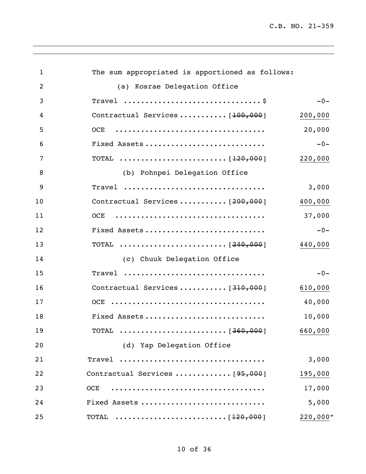| $\mathbf{1}$ | The sum appropriated is apportioned as follows: |          |
|--------------|-------------------------------------------------|----------|
| 2            | (a) Kosrae Delegation Office                    |          |
| 3            |                                                 | $-0-$    |
| 4            | Contractual Services $[100, 000]$               | 200,000  |
| 5            |                                                 | 20,000   |
| 6            | Fixed Assets                                    | $-0-$    |
| 7            |                                                 | 220,000  |
| 8            | (b) Pohnpei Delegation Office                   |          |
| 9            | Travel                                          | 3,000    |
| 10           | Contractual Services $[200,000]$                | 400,000  |
| 11           |                                                 | 37,000   |
| 12           | Fixed Assets                                    | $-0-$    |
| 13           |                                                 | 440,000  |
| 14           | (c) Chuuk Delegation Office                     |          |
| 15           | Travel                                          | $-0-$    |
| 16           | Contractual Services $[310,000]$                | 610,000  |
| 17           |                                                 | 40,000   |
| 18           | Fixed Assets                                    | 10,000   |
| 19           |                                                 | 660,000  |
| 20           | (d) Yap Delegation Office                       |          |
| 21           | Travel                                          | 3,000    |
| 22           | Contractual Services $[95,000]$                 | 195,000  |
| 23           | <b>OCE</b>                                      | 17,000   |
| 24           | Fixed Assets                                    | 5,000    |
| 25           |                                                 | 220,000" |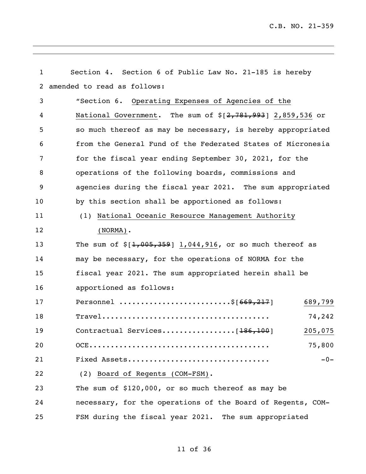| $\mathbf{1}$ | Section 4. Section 6 of Public Law No. 21-185 is hereby                                                        |
|--------------|----------------------------------------------------------------------------------------------------------------|
| 2            | amended to read as follows:                                                                                    |
| 3            | "Section 6. Operating Expenses of Agencies of the                                                              |
| 4            | National Government. The sum of $\S[2, 781, 993]$ 2,859,536 or                                                 |
| 5            | so much thereof as may be necessary, is hereby appropriated                                                    |
| 6            | from the General Fund of the Federated States of Micronesia                                                    |
| 7            | for the fiscal year ending September 30, 2021, for the                                                         |
| 8            | operations of the following boards, commissions and                                                            |
| 9            | agencies during the fiscal year 2021. The sum appropriated                                                     |
| 10           | by this section shall be apportioned as follows:                                                               |
| 11           | (1) National Oceanic Resource Management Authority                                                             |
| 12           | $(NORMAL)$ .                                                                                                   |
| 13           | The sum of $$[1,005,359]$ 1,044,916, or so much thereof as                                                     |
| 14           | may be necessary, for the operations of NORMA for the                                                          |
| 15           | fiscal year 2021. The sum appropriated herein shall be                                                         |
| 16           | apportioned as follows:                                                                                        |
| 17           | Personnel \$[669,217]<br>689,799                                                                               |
| 18           | $\texttt{True}1 \dots \dots \dots \dots \dots \dots \dots \dots \dots \dots \dots \dots \dots \dots$<br>74,242 |
| 19           | 205,075                                                                                                        |
| 20           | 75,800                                                                                                         |
| 21           | Fixed Assets<br>$-0-$                                                                                          |
| 22           | (2) Board of Regents (COM-FSM).                                                                                |
| 23           | The sum of \$120,000, or so much thereof as may be                                                             |
| 24           | necessary, for the operations of the Board of Regents, COM-                                                    |
| 25           | FSM during the fiscal year 2021. The sum appropriated                                                          |

,我们也不会有什么。""我们的人,我们也不会有什么?""我们的人,我们也不会有什么?""我们的人,我们也不会有什么?""我们的人,我们也不会有什么?""我们的人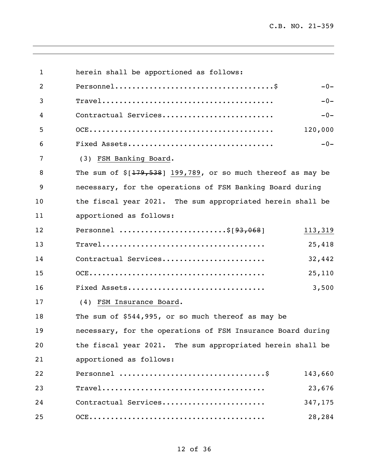| $\mathbf{1}$ | herein shall be apportioned as follows:                                                              |         |
|--------------|------------------------------------------------------------------------------------------------------|---------|
| 2            |                                                                                                      | $-0-$   |
| 3            | $\texttt{True}1 \dots \dots \dots \dots \dots \dots \dots \dots \dots \dots \dots \dots \dots \dots$ | $-0-$   |
| 4            | Contractual Services                                                                                 | $-0-$   |
| 5            |                                                                                                      | 120,000 |
| 6            |                                                                                                      | $-0-$   |
| 7            | (3) FSM Banking Board.                                                                               |         |
| 8            | The sum of $\S[179, 538]$ 199,789, or so much thereof as may be                                      |         |
| 9            | necessary, for the operations of FSM Banking Board during                                            |         |
| 10           | the fiscal year 2021. The sum appropriated herein shall be                                           |         |
| 11           | apportioned as follows:                                                                              |         |
| 12           | Personnel \$[93,068]                                                                                 | 113,319 |
| 13           |                                                                                                      | 25,418  |
| 14           | Contractual Services                                                                                 | 32,442  |
| 15           |                                                                                                      | 25,110  |
| 16           | Fixed Assets                                                                                         | 3,500   |
| 17           | (4) FSM Insurance Board.                                                                             |         |
| 18           | The sum of \$544,995, or so much thereof as may be                                                   |         |
| 19           | necessary, for the operations of FSM Insurance Board during                                          |         |
| 20           | the fiscal year 2021. The sum appropriated herein shall be                                           |         |
| 21           | apportioned as follows:                                                                              |         |
| 22           |                                                                                                      | 143,660 |
| 23           |                                                                                                      | 23,676  |
| 24           | Contractual Services                                                                                 | 347,175 |
| 25           |                                                                                                      | 28,284  |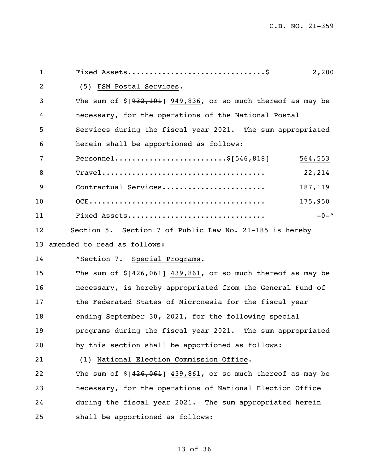| $\mathbf 1$    | 2,200                                                           |
|----------------|-----------------------------------------------------------------|
| $\overline{2}$ | (5) FSM Postal Services.                                        |
| 3              | The sum of $\S$ [932,101] 949,836, or so much thereof as may be |
| 4              | necessary, for the operations of the National Postal            |
| 5              | Services during the fiscal year 2021. The sum appropriated      |
| 6              | herein shall be apportioned as follows:                         |
| 7              | Personnel\$ $[546,818]$<br>564,553                              |
| 8              | 22,214                                                          |
| 9              | Contractual Services<br>187,119                                 |
| 10             | 175,950                                                         |
| 11             | Fixed Assets<br>$-0-$ "                                         |
| 12             | Section 5. Section 7 of Public Law No. 21-185 is hereby         |
| 13             | amended to read as follows:                                     |
| 14             | "Section 7. Special Programs.                                   |
| 15             | The sum of $$[426, 061]$ 439,861, or so much thereof as may be  |
| 16             | necessary, is hereby appropriated from the General Fund of      |
| 17             | the Federated States of Micronesia for the fiscal year          |
| 18             | ending September 30, 2021, for the following special            |
| 19             | programs during the fiscal year 2021. The sum appropriated      |
| 20             | by this section shall be apportioned as follows:                |
| 21             | (1) National Election Commission Office.                        |
| 22             | The sum of $$[426,061]$ 439,861, or so much thereof as may be   |
| 23             | necessary, for the operations of National Election Office       |
| 24             | during the fiscal year 2021. The sum appropriated herein        |
| 25             | shall be apportioned as follows:                                |
|                |                                                                 |

## of 36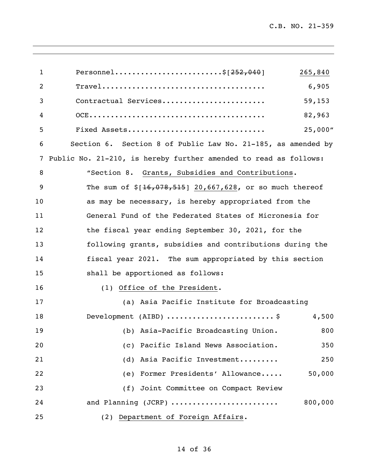| $\mathbf{1}$   | Personnel\$ $[252,040]$<br>265,840                               |
|----------------|------------------------------------------------------------------|
| $\overline{2}$ | 6,905                                                            |
| 3              | 59,153<br>Contractual Services                                   |
| 4              | 82,963                                                           |
| 5              | 25,000"<br>Fixed Assets                                          |
| 6              | Section 6. Section 8 of Public Law No. 21-185, as amended by     |
| 7              | Public No. 21-210, is hereby further amended to read as follows: |
| 8              | "Section 8. Grants, Subsidies and Contributions.                 |
| 9              | The sum of $$[16, 078, 515]$ 20,667,628, or so much thereof      |
| 10             | as may be necessary, is hereby appropriated from the             |
| 11             | General Fund of the Federated States of Micronesia for           |
| 12             | the fiscal year ending September 30, 2021, for the               |
| 13             | following grants, subsidies and contributions during the         |
| 14             | fiscal year 2021. The sum appropriated by this section           |
| 15             | shall be apportioned as follows:                                 |
| 16             | (1) Office of the President.                                     |
| 17             | (a) Asia Pacific Institute for Broadcasting                      |
| 18             | Development (AIBD) $\ldots$ \$<br>4,500                          |
| 19             | (b) Asia-Pacific Broadcasting Union.<br>800                      |
| 20             | (c) Pacific Island News Association.<br>350                      |
| 21             | (d) Asia Pacific Investment<br>250                               |
| 22             | (e) Former Presidents' Allowance<br>50,000                       |
| 23             | (f) Joint Committee on Compact Review                            |
| 24             | and Planning (JCRP)<br>800,000                                   |
| 25             | (2) Department of Foreign Affairs.                               |

,我们也不会有什么。""我们的人,我们也不会有什么?""我们的人,我们也不会有什么?""我们的人,我们也不会有什么?""我们的人,我们也不会有什么?""我们的人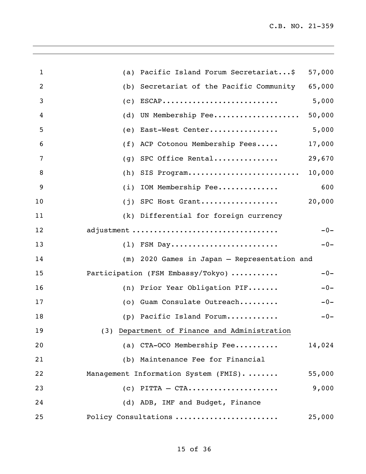| 1  | Pacific Island Forum Secretariat\$<br>57,000<br>(a)   |       |
|----|-------------------------------------------------------|-------|
| 2  | 65,000<br>Secretariat of the Pacific Community<br>(b) |       |
| 3  | 5,000<br>$ESCAP$<br>(C)                               |       |
| 4  | 50,000<br>UN Membership Fee<br>(d)                    |       |
| 5  | 5,000<br>East-West Center<br>(e)                      |       |
| 6  | 17,000<br>ACP Cotonou Membership Fees<br>(f)          |       |
| 7  | 29,670<br>SPC Office Rental<br>(g)                    |       |
| 8  | 10,000<br>SIS Program<br>(h)                          |       |
| 9  | IOM Membership Fee<br>(i)                             | 600   |
| 10 | 20,000<br>SPC Host Grant<br>(j)                       |       |
| 11 | (k) Differential for foreign currency                 |       |
| 12 | adjustment                                            | $-0-$ |
| 13 | (1) FSM Day                                           | $-0-$ |
| 14 | (m) 2020 Games in Japan - Representation and          |       |
| 15 | Participation (FSM Embassy/Tokyo)                     | $-0-$ |
| 16 | (n) Prior Year Obligation PIF                         | $-0-$ |
| 17 | Guam Consulate Outreach<br>(0)                        | $-0-$ |
| 18 | (p) Pacific Island Forum                              | $-0-$ |
| 19 | (3) Department of Finance and Administration          |       |
| 20 | (a) CTA-OCO Membership Fee<br>14,024                  |       |
| 21 | (b) Maintenance Fee for Financial                     |       |
| 22 | Management Information System (FMIS).<br>55,000       |       |
| 23 | 9,000<br>$(c)$ PITTA - CTA                            |       |
| 24 | (d) ADB, IMF and Budget, Finance                      |       |
| 25 | Policy Consultations<br>25,000                        |       |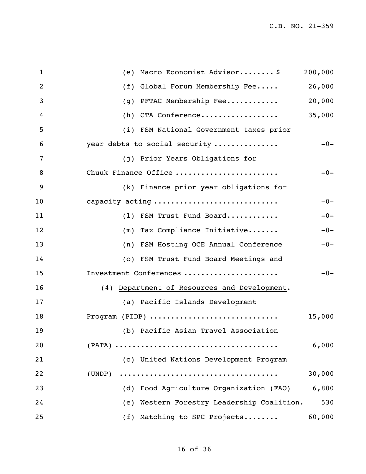| 1  | (e) Macro Economist Advisor\$                   | 200,000 |
|----|-------------------------------------------------|---------|
| 2  | Global Forum Membership Fee<br>(f)              | 26,000  |
| 3  | PFTAC Membership Fee<br>(g)                     | 20,000  |
| 4  | (h) CTA Conference                              | 35,000  |
| 5  | (i) FSM National Government taxes prior         |         |
| 6  | year debts to social security                   | $-0-$   |
| 7  | (j) Prior Years Obligations for                 |         |
| 8  | Chuuk Finance Office                            | $-0-$   |
| 9  | (k) Finance prior year obligations for          |         |
| 10 | capacity acting                                 | $-0-$   |
| 11 | (1) FSM Trust Fund Board                        | $-0-$   |
| 12 | (m) Tax Compliance Initiative                   | $-0-$   |
| 13 | (n) FSM Hosting OCE Annual Conference           | $-0-$   |
| 14 | (o) FSM Trust Fund Board Meetings and           |         |
| 15 | Investment Conferences                          | $-0-$   |
| 16 | Department of Resources and Development.<br>(4) |         |
| 17 | (a) Pacific Islands Development                 |         |
| 18 | Program (PIDP)                                  | 15,000  |
| 19 | (b) Pacific Asian Travel Association            |         |
| 20 |                                                 | 6,000   |
| 21 | (c) United Nations Development Program          |         |
| 22 | (UNDP)                                          | 30,000  |
| 23 | (d) Food Agriculture Organization (FAO)         | 6,800   |
| 24 | (e) Western Forestry Leadership Coalition.      | 530     |
| 25 | (f) Matching to SPC Projects                    | 60,000  |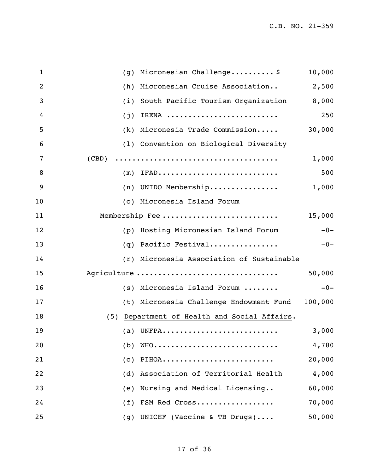| 1              | Micronesian Challenge\$<br>(g)               | 10,000  |
|----------------|----------------------------------------------|---------|
| $\overline{2}$ | Micronesian Cruise Association<br>(h)        | 2,500   |
| 3              | South Pacific Tourism Organization<br>(i)    | 8,000   |
| 4              | IRENA<br>(j)                                 | 250     |
| 5              | Micronesia Trade Commission<br>(k)           | 30,000  |
| 6              | (1) Convention on Biological Diversity       |         |
| 7              | (CBD)                                        | 1,000   |
| 8              | IFAD<br>(m)                                  | 500     |
| 9              | (n) UNIDO Membership                         | 1,000   |
| 10             | (o) Micronesia Island Forum                  |         |
| 11             | Membership Fee                               | 15,000  |
| 12             | (p) Hosting Micronesian Island Forum         | $-0-$   |
| 13             | Pacific Festival<br>(q)                      | $-0-$   |
| 14             | (r) Micronesia Association of Sustainable    |         |
| 15             | Agriculture                                  | 50,000  |
| 16             | (s) Micronesia Island Forum                  | $-0-$   |
| 17             | (t) Micronesia Challenge Endowment Fund      | 100,000 |
| 18             | (5) Department of Health and Social Affairs. |         |
| 19             |                                              | 3,000   |
| 20             | WHO<br>(b)                                   | 4,780   |
| 21             | PIHOA<br>(c)                                 | 20,000  |
| 22             | Association of Territorial Health<br>(d)     | 4,000   |
| 23             | Nursing and Medical Licensing<br>(e)         | 60,000  |
| 24             | FSM Red Cross<br>(f)                         | 70,000  |
| 25             | UNICEF (Vaccine & TB Drugs)<br>(g)           | 50,000  |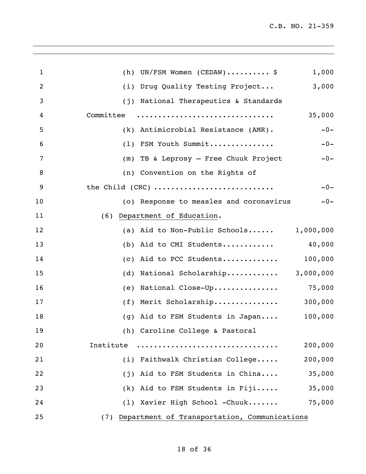| 1  | (h) UN/FSM Women (CEDAW) \$<br>1,000             |
|----|--------------------------------------------------|
| 2  | 3,000<br>Drug Quality Testing Project<br>(i)     |
| 3  | (j) National Therapeutics & Standards            |
| 4  | Committee<br>35,000                              |
| 5  | (k) Antimicrobial Resistance (AMR).<br>$-0-$     |
| 6  | FSM Youth Summit<br>$-0-$<br>(1)                 |
| 7  | (m) TB & Leprosy - Free Chuuk Project<br>$-0-$   |
| 8  | (n) Convention on the Rights of                  |
| 9  | the Child (CRC)<br>$-0-$                         |
| 10 | (o) Response to measles and coronavirus<br>$-0-$ |
| 11 | Department of Education.<br>(6)                  |
| 12 | (a) Aid to Non-Public Schools $1,000,000$        |
| 13 | (b) Aid to CMI Students $40,000$                 |
| 14 | (c) Aid to PCC Students $100,000$                |
| 15 | (d) National Scholarship $3,000,000$             |
| 16 | National Close-Up 75,000<br>(e)                  |
| 17 | $(f)$ Merit Scholarship 300,000                  |
| 18 | 100,000<br>(g) Aid to FSM Students in Japan      |
| 19 | (h) Caroline College & Pastoral                  |
| 20 | 200,000<br>Institute                             |
| 21 | (i) Faithwalk Christian College<br>200,000       |
| 22 | (j) Aid to FSM Students in China<br>35,000       |
| 23 | $(k)$ Aid to FSM Students in Fiji<br>35,000      |
| 24 | (1) Xavier High School -Chuuk<br>75,000          |
| 25 | (7) Department of Transportation, Communications |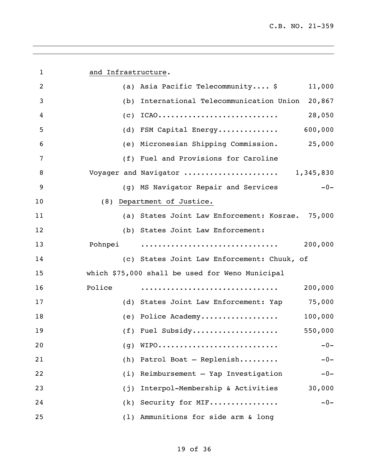| $\mathbf{1}$   | and Infrastructure.                                 |
|----------------|-----------------------------------------------------|
| $\overline{2}$ | (a) Asia Pacific Telecommunity \$<br>11,000         |
| 3              | (b) International Telecommunication Union<br>20,867 |
| 4              | $(c)$ ICAO<br>28,050                                |
| 5              | 600,000<br>(d) FSM Capital Energy                   |
| 6              | (e) Micronesian Shipping Commission.<br>25,000      |
| 7              | (f) Fuel and Provisions for Caroline                |
| 8              | Voyager and Navigator  1,345,830                    |
| 9              | $-0-$<br>(g) MS Navigator Repair and Services       |
| 10             | (8) Department of Justice.                          |
| 11             | (a) States Joint Law Enforcement: Kosrae. 75,000    |
| 12             | (b) States Joint Law Enforcement:                   |
| 13             | 200,000<br>Pohnpei                                  |
| 14             | (c) States Joint Law Enforcement: Chuuk, of         |
| 15             | which \$75,000 shall be used for Weno Municipal     |
| 16             | Police<br>200,000                                   |
| 17             | (d) States Joint Law Enforcement: Yap 75,000        |
| 18             | (e) Police Academy<br>100,000                       |
| 19             | 550,000<br>$(f)$ Fuel Subsidy                       |
| 20             | WIPO<br>$-0-$<br>(g)                                |
| 21             | Patrol Boat - Replenish<br>(h)<br>$-0-$             |
| 22             | Reimbursement - Yap Investigation<br>(i)<br>$-0-$   |
| 23             | Interpol-Membership & Activities<br>30,000<br>(j)   |
| 24             | Security for MIF<br>$-0-$<br>(k)                    |
| 25             | (1) Ammunitions for side arm & long                 |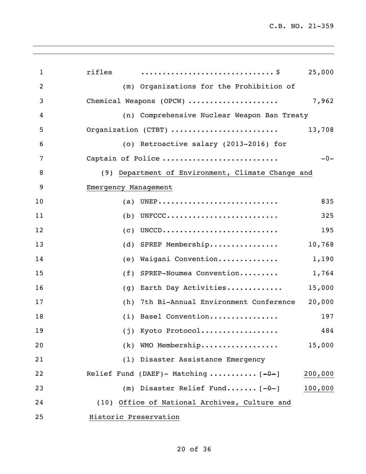| $\mathbf{1}$   | rifles<br>25,000                                      |
|----------------|-------------------------------------------------------|
| $\overline{2}$ | (m) Organizations for the Prohibition of              |
| 3              | 7,962<br>Chemical Weapons (OPCW)                      |
| 4              | (n) Comprehensive Nuclear Weapon Ban Treaty           |
| 5              | Organization (CTBT)<br>13,708                         |
| 6              | (o) Retroactive salary (2013-2016) for                |
| 7              | Captain of Police<br>$-0-$                            |
| 8              | (9) Department of Environment, Climate Change and     |
| 9              | Emergency Management                                  |
| 10             | (a) UNEP<br>835                                       |
| 11             | $(b)$ UNFCCC<br>325                                   |
| 12             | UNCCD<br>195<br>(c)                                   |
| 13             | (d) SPREP Membership<br>10,768                        |
| 14             | Waigani Convention<br>1,190<br>(e)                    |
| 15             | SPREP-Noumea Convention<br>1,764<br>(f)               |
| 16             | Earth Day Activities<br>15,000<br>(g)                 |
| 17             | 20,000<br>7th Bi-Annual Environment Conference<br>(h) |
| 18             | (i) Basel Convention<br>197                           |
| 19             | (j) Kyoto Protocol<br>484                             |
| 20             | (k) WMO Membership<br>15,000                          |
| 21             | (1) Disaster Assistance Emergency                     |
| 22             | Relief Fund (DAEF)- Matching $[-0-]$<br>200,000       |
| 23             | (m) Disaster Relief Fund $[-0-]$<br>100,000           |
| 24             | (10) Office of National Archives, Culture and         |
| 25             | Historic Preservation                                 |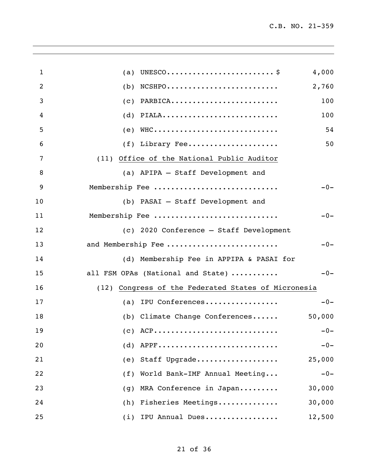| 1  | (a)                                                                                       | 4,000  |
|----|-------------------------------------------------------------------------------------------|--------|
| 2  | $NCSHPO \ldots \ldots \ldots \ldots \ldots \ldots \ldots \ldots$<br>(b)                   | 2,760  |
| 3  | PARBICA<br>(c)                                                                            | 100    |
| 4  | PIALA<br>(d)                                                                              | 100    |
| 5  | $WHC \ldots \ldots \ldots \ldots \ldots \ldots \ldots \ldots \ldots \ldots \ldots$<br>(e) | 54     |
| 6  | $(f)$ Library Fee                                                                         | 50     |
| 7  | (11) Office of the National Public Auditor                                                |        |
| 8  | (a) APIPA - Staff Development and                                                         |        |
| 9  | Membership Fee                                                                            | $-0-$  |
| 10 | (b) PASAI - Staff Development and                                                         |        |
| 11 | Membership Fee                                                                            | $-0-$  |
| 12 | (c) 2020 Conference - Staff Development                                                   |        |
| 13 | and Membership Fee                                                                        | $-0-$  |
| 14 | (d) Membership Fee in APPIPA & PASAI for                                                  |        |
| 15 | all FSM OPAs (National and State)                                                         | $-0-$  |
| 16 | (12) Congress of the Federated States of Micronesia                                       |        |
| 17 | IPU Conferences<br>(a)                                                                    | $-0-$  |
| 18 | (b) Climate Change Conferences                                                            | 50,000 |
| 19 | $(C)$ ACP                                                                                 | $-0-$  |
| 20 | $(d)$ APPF                                                                                | $-0-$  |
| 21 | (e) Staff Upgrade                                                                         | 25,000 |
| 22 | (f) World Bank-IMF Annual Meeting                                                         | $-0-$  |
| 23 | MRA Conference in Japan<br>(q)                                                            | 30,000 |
| 24 | (h) Fisheries Meetings                                                                    | 30,000 |
| 25 | IPU Annual Dues<br>(i)                                                                    | 12,500 |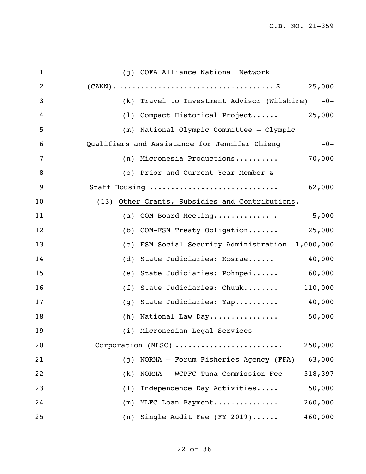| $\mathbf{1}$   | (j) COFA Alliance National Network                     |
|----------------|--------------------------------------------------------|
| $\overline{2}$ |                                                        |
| 3              | (k) Travel to Investment Advisor (Wilshire) -0-        |
| 4              | (1) Compact Historical Project<br>25,000               |
| 5              | (m) National Olympic Committee - Olympic               |
| 6              | Qualifiers and Assistance for Jennifer Chieng<br>$-0-$ |
| 7              | (n) Micronesia Productions<br>70,000                   |
| 8              | (o) Prior and Current Year Member &                    |
| 9              | Staff Housing<br>62,000                                |
| 10             | (13) Other Grants, Subsidies and Contributions.        |
| 11             | (a) COM Board Meeting<br>5,000                         |
| 12             | (b) COM-FSM Treaty Obligation 25,000                   |
| 13             | (c) FSM Social Security Administration 1,000,000       |
| 14             | (d) State Judiciaries: Kosrae<br>40,000                |
| 15             | (e) State Judiciaries: Pohnpei<br>60,000               |
| 16             | (f) State Judiciaries: Chuuk<br>110,000                |
| 17             | (g) State Judiciaries: Yap<br>40,000                   |
| 18             | 50,000<br>(h) National Law Day                         |
| 19             | (i) Micronesian Legal Services                         |
| 20             | Corporation (MLSC)<br>250,000                          |
| 21             | NORMA - Forum Fisheries Agency (FFA)<br>63,000<br>(j)  |
| 22             | NORMA - WCPFC Tuna Commission Fee<br>318,397<br>(k)    |
| 23             | 50,000<br>Independence Day Activities<br>(1)           |
| 24             | 260,000<br>MLFC Loan Payment<br>(m)                    |
| 25             | (n) Single Audit Fee (FY 2019)<br>460,000              |

,我们也不会有什么。""我们的人,我们也不会有什么?""我们的人,我们也不会有什么?""我们的人,我们也不会有什么?""我们的人,我们也不会有什么?""我们的人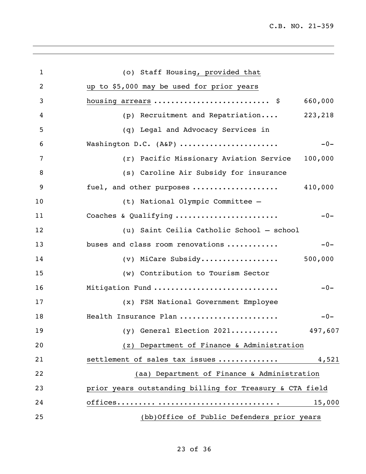| $\mathbf{1}$   | (o) Staff Housing, provided that                         |         |
|----------------|----------------------------------------------------------|---------|
| $\overline{2}$ | up to \$5,000 may be used for prior years                |         |
| 3              | housing arrears  \$                                      | 660,000 |
| 4              | (p) Recruitment and Repatriation                         | 223,218 |
| 5              | (q) Legal and Advocacy Services in                       |         |
| 6              | Washington D.C. (A&P)                                    | $-0-$   |
| 7              | (r) Pacific Missionary Aviation Service                  | 100,000 |
| 8              | (s) Caroline Air Subsidy for insurance                   |         |
| 9              | fuel, and other purposes                                 | 410,000 |
| 10             | (t) National Olympic Committee -                         |         |
| 11             | Coaches & Qualifying                                     | $-0-$   |
| 12             | (u) Saint Ceilia Catholic School - school                |         |
| 13             | buses and class room renovations                         | $-0-$   |
| 14             | (v) MiCare Subsidy                                       | 500,000 |
| 15             | (w) Contribution to Tourism Sector                       |         |
| 16             | Mitigation Fund                                          | $-0-$   |
| 17             | (x) FSM National Government Employee                     |         |
| 18             | Health Insurance Plan                                    | $-0-$   |
| 19             | $(y)$ General Election 2021                              | 497,607 |
| 20             | (z) Department of Finance & Administration               |         |
| 21             | settlement of sales tax issues                           | 4,521   |
| 22             | (aa) Department of Finance & Administration              |         |
| 23             | prior years outstanding billing for Treasury & CTA field |         |
| 24             |                                                          | 15,000  |
| 25             | (bb)Office of Public Defenders prior years               |         |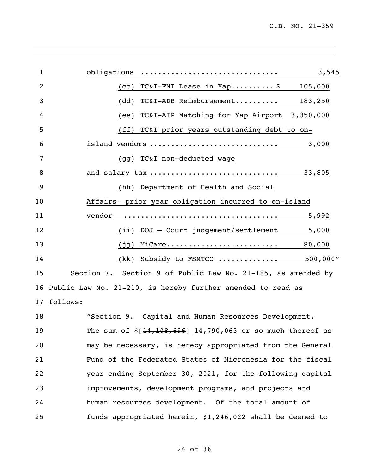| 1               | obligations<br>3,545                                         |
|-----------------|--------------------------------------------------------------|
| 2               | $TC&I-FMI$ Lease in Yap\$<br>105,000<br>(cc)                 |
| 3               | TC&I-ADB Reimbursement<br>(dd)<br>183,250                    |
| 4               | TC&I-AIP Matching for Yap Airport 3,350,000<br>(ee)          |
| 5               | TC&I prior years outstanding debt to on-<br>(ff)             |
| 6               | island vendors<br>3,000                                      |
| 7               | TC&I non-deducted wage<br>(gq)                               |
| 8               | and salary tax<br>33,805                                     |
| 9               | (hh) Department of Health and Social                         |
| 10              | Affairs- prior year obligation incurred to on-island         |
| 11              | vendor<br>5,992                                              |
| 12              | DOJ - Court judgement/settlement<br>5,000<br>(iii)           |
| 13              | MiCare<br>80,000<br>(jj)                                     |
| 14              | 500,000"<br>(kk) Subsidy to FSMTCC                           |
| 15              | Section 7. Section 9 of Public Law No. 21-185, as amended by |
| 16              | Public Law No. 21-210, is hereby further amended to read as  |
| 17 <sub>2</sub> | follows:                                                     |
| 18              | "Section 9. Capital and Human Resources Development.         |
| 19              | The sum of $$[14,108,696]$ 14,790,063 or so much thereof as  |
| 20              | may be necessary, is hereby appropriated from the General    |
| 21              | Fund of the Federated States of Micronesia for the fiscal    |
| 22              | year ending September 30, 2021, for the following capital    |
| 23              | improvements, development programs, and projects and         |
| 24              | human resources development. Of the total amount of          |

funds appropriated herein, \$1,246,022 shall be deemed to

## of 36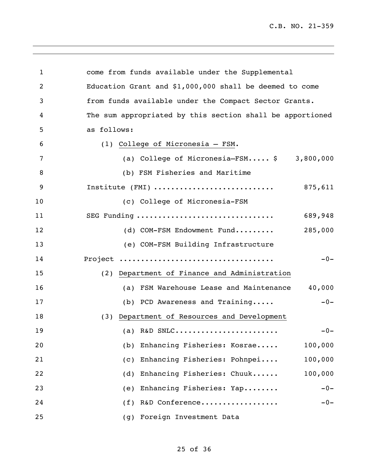C.B. NO. 21-359

| $\mathbf 1$ | come from funds available under the Supplemental                                  |
|-------------|-----------------------------------------------------------------------------------|
| 2           | Education Grant and \$1,000,000 shall be deemed to come                           |
| 3           | from funds available under the Compact Sector Grants.                             |
| 4           | The sum appropriated by this section shall be apportioned                         |
| 5           | as follows:                                                                       |
| 6           | (1) College of Micronesia - FSM.                                                  |
| 7           | (a) College of Micronesia-FSM $\frac{1}{2}$ 3,800,000                             |
| 8           | (b) FSM Fisheries and Maritime                                                    |
| 9           | Institute (FMI) $\ldots \ldots \ldots \ldots \ldots \ldots \ldots \ldots$ 875,611 |
| 10          | (c) College of Micronesia-FSM                                                     |
| 11          | SEG Funding<br>689,948                                                            |
| 12          | 285,000<br>(d) COM-FSM Endowment Fund                                             |
| 13          | (e) COM-FSM Building Infrastructure                                               |
| 14          | $-0-$                                                                             |
| 15          | (2) Department of Finance and Administration                                      |
| 16          | 40,000<br>(a) FSM Warehouse Lease and Maintenance                                 |
| 17          | $-0-$<br>(b) PCD Awareness and Training                                           |
| 18          | (3) Department of Resources and Development                                       |
| 19          | (a) R&D SNLC<br>$-0-$                                                             |
| 20          | Enhancing Fisheries: Kosrae<br>100,000<br>(b)                                     |
| 21          | Enhancing Fisheries: Pohnpei<br>100,000<br>(c)                                    |
| 22          | 100,000<br>Enhancing Fisheries: Chuuk<br>(d)                                      |
| 23          | Enhancing Fisheries: Yap<br>$-0-$<br>(e)                                          |
| 24          | R&D Conference<br>(f)<br>$-0-$                                                    |
| 25          | (g) Foreign Investment Data                                                       |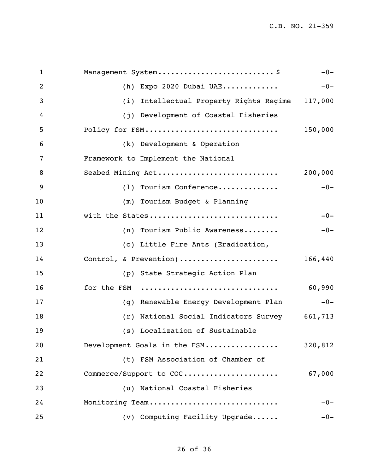| 1  | Management System \$                               | $-0-$   |
|----|----------------------------------------------------|---------|
| 2  | Expo 2020 Dubai UAE<br>(h)                         | $-0-$   |
| 3  | Intellectual Property Rights Regime 117,000<br>(i) |         |
| 4  | (j) Development of Coastal Fisheries               |         |
| 5  | Policy for FSM                                     | 150,000 |
| 6  | (k) Development & Operation                        |         |
| 7  | Framework to Implement the National                |         |
| 8  | Seabed Mining Act                                  | 200,000 |
| 9  | (1) Tourism Conference                             | $-0-$   |
| 10 | (m) Tourism Budget & Planning                      |         |
| 11 | with the States                                    | $-0-$   |
| 12 | (n) Tourism Public Awareness                       | $-0-$   |
| 13 | (o) Little Fire Ants (Eradication,                 |         |
| 14 | Control, & Prevention)                             | 166,440 |
| 15 | (p) State Strategic Action Plan                    |         |
| 16 | for the FSM                                        | 60,990  |
| 17 | (q) Renewable Energy Development Plan              | $-0-$   |
| 18 | (r) National Social Indicators Survey 661,713      |         |
| 19 | (s) Localization of Sustainable                    |         |
| 20 | Development Goals in the FSM                       | 320,812 |
| 21 | (t) FSM Association of Chamber of                  |         |
| 22 | Commerce/Support to COC                            | 67,000  |
| 23 | (u) National Coastal Fisheries                     |         |
| 24 | Monitoring Team                                    | $-0-$   |
| 25 | (v) Computing Facility Upgrade                     | $-0-$   |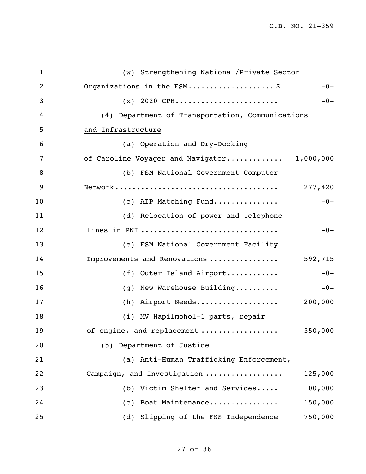| $\mathbf{1}$   | (w) Strengthening National/Private Sector        |
|----------------|--------------------------------------------------|
| $\overline{2}$ | Organizations in the FSM\$<br>$-0-$              |
| 3              | $(x)$ 2020 CPH<br>$-0-$                          |
| 4              | (4) Department of Transportation, Communications |
| 5              |                                                  |
|                | and Infrastructure                               |
| 6              | (a) Operation and Dry-Docking                    |
| 7              | of Caroline Voyager and Navigator 1,000,000      |
| 8              | (b) FSM National Government Computer             |
| 9              | 277,420                                          |
| 10             | (c) AIP Matching Fund<br>$-0-$                   |
| 11             | (d) Relocation of power and telephone            |
| 12             | lines in PNI<br>$-0-$                            |
| 13             | (e) FSM National Government Facility             |
| 14             | Improvements and Renovations<br>592,715          |
| 15             | (f) Outer Island Airport<br>$-0-$                |
| 16             | (g) New Warehouse Building<br>$-0-$              |
| 17             | (h) Airport Needs<br>200,000                     |
| 18             | (i) MV Hapilmohol-1 parts, repair                |
| 19             | of engine, and replacement<br>350,000            |
| 20             | Department of Justice<br>(5)                     |
| 21             | (a) Anti-Human Trafficking Enforcement,          |
| 22             | Campaign, and Investigation<br>125,000           |
| 23             | (b) Victim Shelter and Services<br>100,000       |
| 24             | (c) Boat Maintenance<br>150,000                  |
| 25             | (d) Slipping of the FSS Independence<br>750,000  |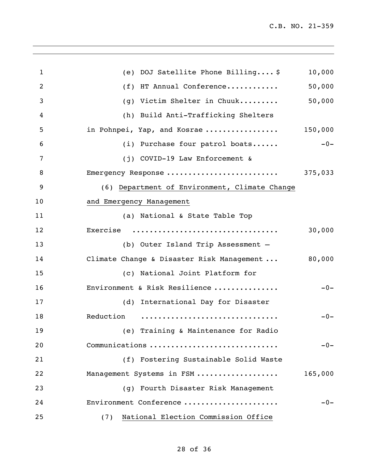| 1  | (e) DOJ Satellite Phone Billing \$            | 10,000  |
|----|-----------------------------------------------|---------|
| 2  | (f) HT Annual Conference                      | 50,000  |
| 3  | (g) Victim Shelter in Chuuk                   | 50,000  |
| 4  | (h) Build Anti-Trafficking Shelters           |         |
| 5  | in Pohnpei, Yap, and Kosrae                   | 150,000 |
| 6  | (i) Purchase four patrol boats                | $-0-$   |
| 7  | (j) COVID-19 Law Enforcement &                |         |
| 8  | Emergency Response                            | 375,033 |
| 9  | (6) Department of Environment, Climate Change |         |
| 10 | and Emergency Management                      |         |
| 11 | (a) National & State Table Top                |         |
| 12 | Exercise                                      | 30,000  |
| 13 | (b) Outer Island Trip Assessment -            |         |
| 14 | Climate Change & Disaster Risk Management     | 80,000  |
| 15 | (c) National Joint Platform for               |         |
| 16 | Environment & Risk Resilience                 | $-0-$   |
| 17 | (d) International Day for Disaster            |         |
| 18 | Reduction                                     | $-0-$   |
| 19 | (e) Training & Maintenance for Radio          |         |
| 20 | Communications                                | $-0-$   |
| 21 | (f) Fostering Sustainable Solid Waste         |         |
| 22 | Management Systems in FSM                     | 165,000 |
| 23 | (g) Fourth Disaster Risk Management           |         |
| 24 | Environment Conference                        | $-0-$   |
| 25 | National Election Commission Office<br>(7)    |         |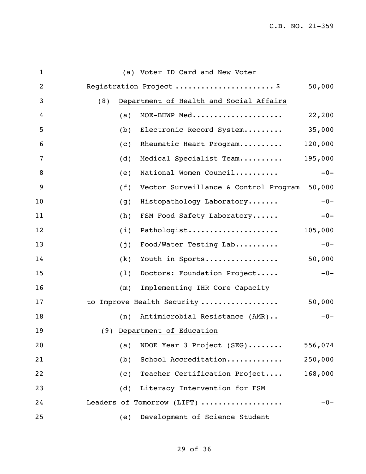| $\mathbf{1}$ | (a) Voter ID Card and New Voter                |         |
|--------------|------------------------------------------------|---------|
| 2            | Registration Project \$                        | 50,000  |
| 3            | Department of Health and Social Affairs<br>(8) |         |
| 4            | MOE-BHWP Med<br>(a)                            | 22,200  |
| 5            | Electronic Record System<br>(b)                | 35,000  |
| 6            | Rheumatic Heart Program<br>(c)                 | 120,000 |
| 7            | Medical Specialist Team<br>(d)                 | 195,000 |
| 8            | National Women Council<br>(e)                  | $-0-$   |
| 9            | Vector Surveillance & Control Program<br>(f)   | 50,000  |
| 10           | Histopathology Laboratory<br>(g)               | $-0-$   |
| 11           | FSM Food Safety Laboratory<br>(h)              | $-0-$   |
| 12           | Pathologist<br>(i)                             | 105,000 |
| 13           | Food/Water Testing Lab<br>(j)                  | $-0-$   |
| 14           | Youth in Sports<br>(k)                         | 50,000  |
| 15           | Doctors: Foundation Project<br>(1)             | $-0-$   |
| 16           | Implementing IHR Core Capacity<br>(m)          |         |
| 17           | to Improve Health Security                     | 50,000  |
| 18           | Antimicrobial Resistance (AMR)<br>(n)          | $-0-$   |
| 19           | (9) Department of Education                    |         |
| 20           | NDOE Year 3 Project (SEG)<br>(a)               | 556,074 |
| 21           | School Accreditation<br>(b)                    | 250,000 |
| 22           | Teacher Certification Project<br>(c)           | 168,000 |
| 23           | Literacy Intervention for FSM<br>(d)           |         |
| 24           | Leaders of Tomorrow (LIFT)                     | $-0-$   |
| 25           | Development of Science Student<br>(e)          |         |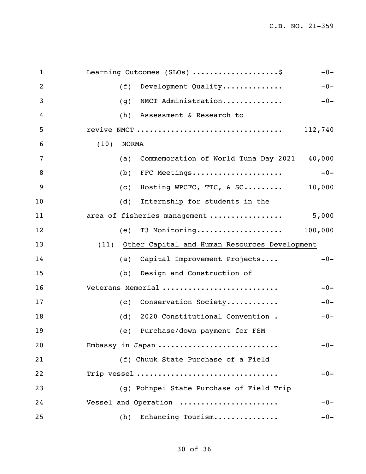| $\mathbf{1}$ | Learning Outcomes (SLOs) \$<br>$-0-$               |
|--------------|----------------------------------------------------|
| 2            | Development Quality<br>(f)<br>$-0-$                |
| 3            | NMCT Administration<br>$-0-$<br>(g)                |
| 4            | Assessment & Research to<br>(h)                    |
| 5            | revive NMCT<br>112,740                             |
| 6            | (10)<br><b>NORMA</b>                               |
| 7            | Commemoration of World Tuna Day 2021 40,000<br>(a) |
| 8            | FFC Meetings<br>$-0-$<br>(b)                       |
| 9            | Hosting WPCFC, TTC, & SC<br>10,000<br>(c)          |
| 10           | Internship for students in the<br>(d)              |
| 11           | area of fisheries management<br>5,000              |
| 12           | T3 Monitoring 100,000<br>(e)                       |
| 13           | (11) Other Capital and Human Resources Development |
| 14           | Capital Improvement Projects<br>$-0-$<br>(a)       |
| 15           | Design and Construction of<br>(b)                  |
| 16           | Veterans Memorial<br>$-0-$                         |
| 17           | (c) Conservation Society<br>$-0-$                  |
| 18           | 2020 Constitutional Convention.<br>(d)<br>$-0-$    |
| 19           | (e) Purchase/down payment for FSM                  |
| 20           | $-0-$<br>Embassy in Japan                          |
| 21           | (f) Chuuk State Purchase of a Field                |
| 22           | Trip vessel<br>$-0-$                               |
| 23           | (g) Pohnpei State Purchase of Field Trip           |
| 24           | Vessel and Operation<br>$-0-$                      |
| 25           | Enhancing Tourism<br>$-0-$<br>(h)                  |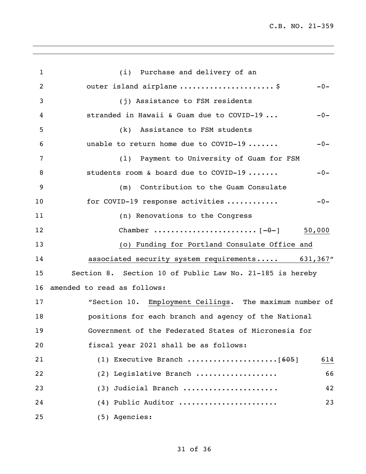C.B. NO. 21-359

| 1  | (i) Purchase and delivery of an                          |
|----|----------------------------------------------------------|
| 2  | outer island airplane \$<br>$-0-$                        |
| 3  | (j) Assistance to FSM residents                          |
| 4  | stranded in Hawaii & Guam due to COVID-19<br>$-0-$       |
| 5  | Assistance to FSM students<br>(k)                        |
| 6  | unable to return home due to COVID-19<br>$-0-$           |
| 7  | (1) Payment to University of Guam for FSM                |
| 8  | students room & board due to COVID-19<br>$-0-$           |
| 9  | Contribution to the Guam Consulate<br>(m)                |
| 10 | for COVID-19 response activities<br>$-0-$                |
| 11 | (n) Renovations to the Congress                          |
| 12 |                                                          |
| 13 | (o) Funding for Portland Consulate Office and            |
| 14 | associated security system requirements 631,367"         |
| 15 | Section 8. Section 10 of Public Law No. 21-185 is hereby |
| 16 | amended to read as follows:                              |
| 17 | "Section 10. Employment Ceilings. The maximum number of  |
| 18 | positions for each branch and agency of the National     |
| 19 | Government of the Federated States of Micronesia for     |
| 20 | fiscal year 2021 shall be as follows:                    |
| 21 | 614                                                      |
| 22 | (2) Legislative Branch<br>66                             |
| 23 | (3) Judicial Branch<br>42                                |
| 24 | (4) Public Auditor<br>23                                 |
| 25 | (5) Agencies:                                            |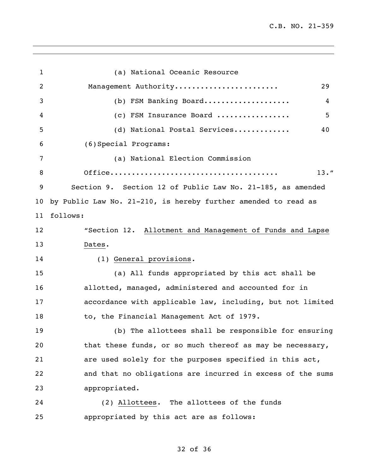$\overline{\phantom{a}}$ 

| $\mathbf{1}$ | (a) National Oceanic Resource                                  |
|--------------|----------------------------------------------------------------|
| 2            | Management Authority<br>29                                     |
| 3            | (b) FSM Banking Board<br>4                                     |
| 4            | 5<br>(c) FSM Insurance Board                                   |
| 5            | (d) National Postal Services<br>40                             |
| 6            | (6) Special Programs:                                          |
| 7            | (a) National Election Commission                               |
| 8            | $13.$ "                                                        |
| 9            | Section 9. Section 12 of Public Law No. 21-185, as amended     |
| 10           | by Public Law No. 21-210, is hereby further amended to read as |
| 11           | follows:                                                       |
| 12           | "Section 12. Allotment and Management of Funds and Lapse       |
| 13           | Dates.                                                         |
| 14           | (1) General provisions.                                        |
| 15           | (a) All funds appropriated by this act shall be                |
| 16           | allotted, managed, administered and accounted for in           |
| 17           | accordance with applicable law, including, but not limited     |
| 18           | to, the Financial Management Act of 1979.                      |
| 19           | (b) The allottees shall be responsible for ensuring            |
| 20           | that these funds, or so much thereof as may be necessary,      |
| 21           | are used solely for the purposes specified in this act,        |
| 22           | and that no obligations are incurred in excess of the sums     |
| 23           | appropriated.                                                  |
| 24           | (2) Allottees. The allottees of the funds                      |
| 25           | appropriated by this act are as follows:                       |

# of 36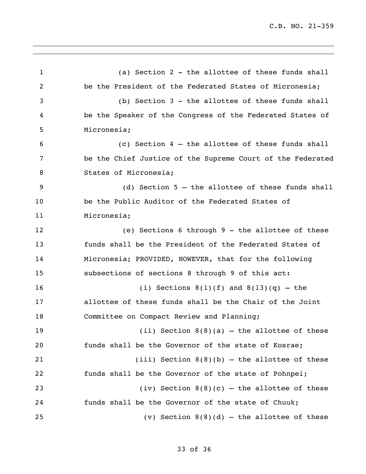(a) Section 2 - the allottee of these funds shall be the President of the Federated States of Micronesia; (b) Section 3 - the allottee of these funds shall be the Speaker of the Congress of the Federated States of Micronesia; (c) Section 4 – the allottee of these funds shall be the Chief Justice of the Supreme Court of the Federated States of Micronesia; (d) Section 5 – the allottee of these funds shall be the Public Auditor of the Federated States of Micronesia; (e) Sections 6 through 9 - the allottee of these funds shall be the President of the Federated States of Micronesia; PROVIDED, HOWEVER, that for the following subsections of sections 8 through 9 of this act: (i) Sections 8(1)(f) and 8(13)(q) – the allottee of these funds shall be the Chair of the Joint 18 Committee on Compact Review and Planning; (ii) Section 8(8)(a) – the allottee of these funds shall be the Governor of the state of Kosrae; (iii) Section 8(8)(b) – the allottee of these funds shall be the Governor of the state of Pohnpei; (iv) Section 8(8)(c) – the allottee of these funds shall be the Governor of the state of Chuuk; (v) Section 8(8)(d) – the allottee of these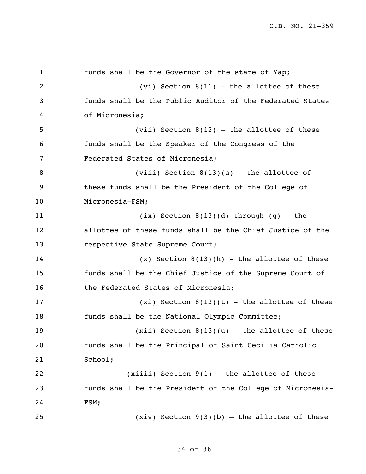```
1 funds shall be the Governor of the state of Yap;
2 (vi) Section 8(11) – the allottee of these 
3 funds shall be the Public Auditor of the Federated States 
4 of Micronesia;
5 (vii) Section 8(12) – the allottee of these 
6 funds shall be the Speaker of the Congress of the 
7 Federated States of Micronesia;
8 (viii) Section 8(13)(a) – the allottee of 
9 these funds shall be the President of the College of 
10 Micronesia-FSM;
11 (ix) Section 8(13)(d) through (g) - the 
12 allottee of these funds shall be the Chief Justice of the 
13 respective State Supreme Court;
14 (x) Section 8(13)(h) - the allottee of these 
15 funds shall be the Chief Justice of the Supreme Court of 
16 the Federated States of Micronesia;
17 (xi) Section 8(13)(t) - the allottee of these 
18 funds shall be the National Olympic Committee;
19 (xii) Section 8(13)(u) - the allottee of these 
20 funds shall be the Principal of Saint Cecilia Catholic 
21 School;
22 (xiiii) Section 9(1) – the allottee of these 
23 funds shall be the President of the College of Micronesia-
24 FSM;
25 (xiv) Section 9(3)(b) – the allottee of these
```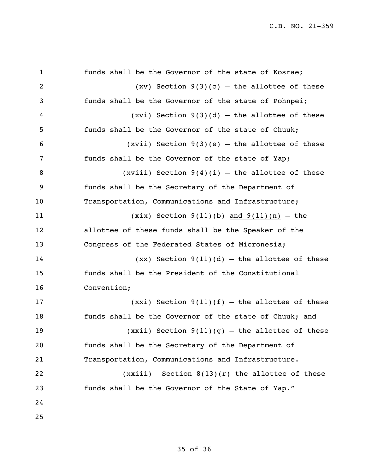| $\mathbf{1}$ | funds shall be the Governor of the state of Kosrae;    |
|--------------|--------------------------------------------------------|
| 2            | $(xv)$ Section 9(3)(c) – the allottee of these         |
| 3            | funds shall be the Governor of the state of Pohnpei;   |
| 4            | $(xvi)$ Section 9(3)(d) – the allottee of these        |
| 5            | funds shall be the Governor of the state of Chuuk;     |
| 6            | (xvii) Section $9(3)(e)$ – the allottee of these       |
| 7            | funds shall be the Governor of the state of Yap;       |
| 8            | (xviii) Section $9(4)(i)$ - the allottee of these      |
| 9            | funds shall be the Secretary of the Department of      |
| 10           | Transportation, Communications and Infrastructure;     |
| 11           | $(xix)$ Section 9(11)(b) and 9(11)(n) - the            |
| 12           | allottee of these funds shall be the Speaker of the    |
| 13           | Congress of the Federated States of Micronesia;        |
| 14           | $(xx)$ Section 9(11)(d) – the allottee of these        |
| 15           | funds shall be the President of the Constitutional     |
| 16           | Convention;                                            |
| 17           | $(xxi)$ Section $9(11)(f)$ – the allottee of these     |
| 18           | funds shall be the Governor of the state of Chuuk; and |
| 19           | $(xxii)$ Section $9(11)(g)$ - the allottee of these    |
| 20           | funds shall be the Secretary of the Department of      |
| 21           | Transportation, Communications and Infrastructure.     |
| 22           | $(xxiii)$ Section $8(13)(r)$ the allottee of these     |
| 23           | funds shall be the Governor of the State of Yap."      |
| 24           |                                                        |
| 25           |                                                        |